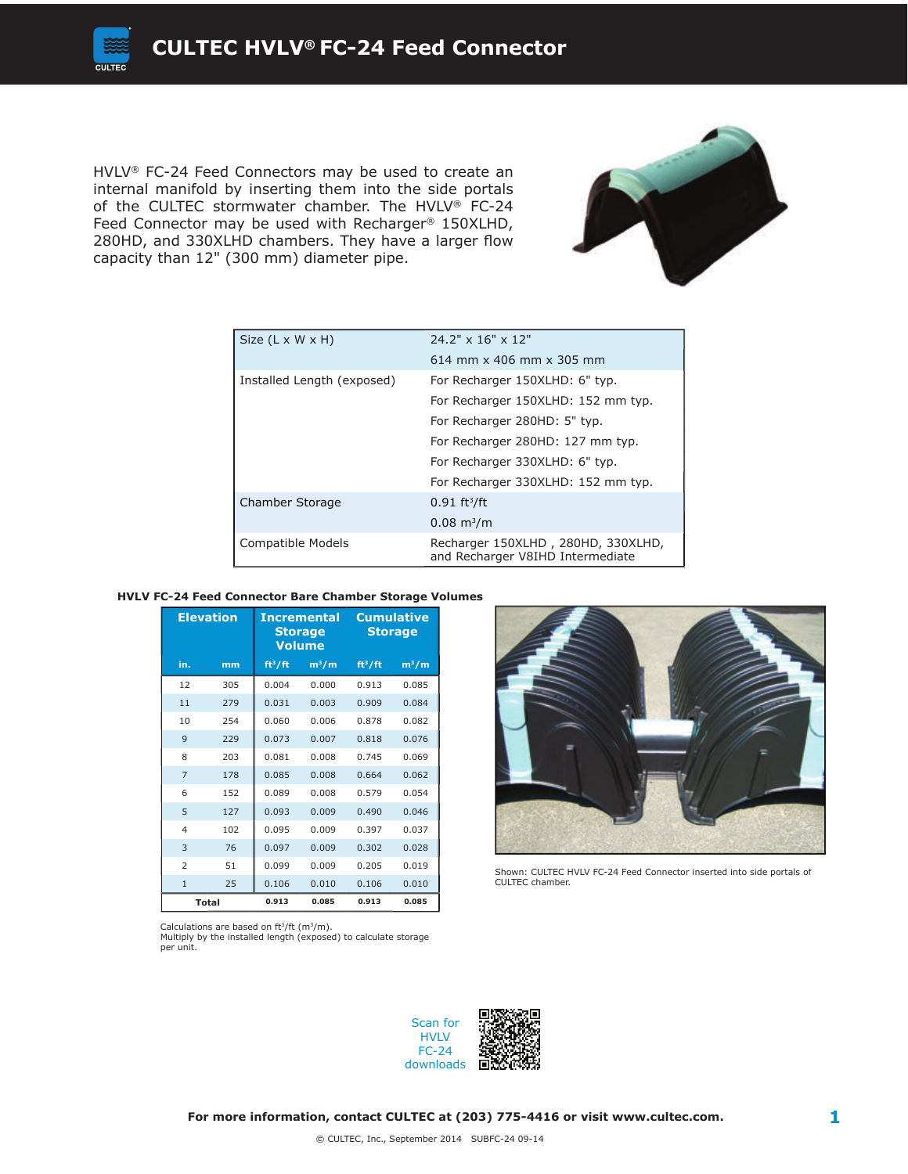HVLV® FC-24 Feed Connectors may be used to create an internal manifold by inserting them into the side portals of the CULTEC stormwater chamber. The HVLV® FC-24 Feed Connector may be used with Recharger<sup>®</sup> 150XLHD, 280HD, and 330XLHD chambers. They have a larger flow capacity than 12" (300 mm) diameter pipe.



| Size $(L \times W \times H)$ | $24.2" \times 16" \times 12"$                                          |  |  |
|------------------------------|------------------------------------------------------------------------|--|--|
|                              | 614 mm $\times$ 406 mm $\times$ 305 mm                                 |  |  |
| Installed Length (exposed)   | For Recharger 150XLHD: 6" typ.                                         |  |  |
|                              | For Recharger 150XLHD: 152 mm typ.                                     |  |  |
|                              | For Recharger 280HD: 5" typ.                                           |  |  |
|                              | For Recharger 280HD: 127 mm typ.                                       |  |  |
|                              | For Recharger 330XLHD: 6" typ.                                         |  |  |
|                              | For Recharger 330XLHD: 152 mm typ.                                     |  |  |
| Chamber Storage              | $0.91 \text{ ft}^3/\text{ft}$                                          |  |  |
|                              | $0.08 \; \mathrm{m}^3/\mathrm{m}$                                      |  |  |
| Compatible Models            | Recharger 150XLHD, 280HD, 330XLHD,<br>and Recharger V8IHD Intermediate |  |  |

#### **HVLV FC-24 Feed Connector Bare Chamber Storage Volumes**

| <b>Elevation</b> |              | <b>Incremental</b><br><b>Storage</b><br><b>Volume</b> |         | <b>Cumulative</b><br>Storage |         |
|------------------|--------------|-------------------------------------------------------|---------|------------------------------|---------|
| in.              | mm           | ft <sup>3</sup> /ft                                   | $m^3/m$ | ft <sup>3</sup> /ft          | $m^3/m$ |
| 12               | 305          | 0.004                                                 | 0.000   | 0.913                        | 0.085   |
| 11               | 279          | 0.031                                                 | 0.003   | 0.909                        | 0.084   |
| 10               | 254          | 0.060                                                 | 0.006   | 0.878                        | 0.082   |
| 9                | 229          | 0.073                                                 | 0.007   | 0.818                        | 0.076   |
| 8                | 203          | 0.081                                                 | 0.008   | 0.745                        | 0.069   |
| $\overline{7}$   | 178          | 0.085                                                 | 0.008   | 0.664                        | 0.062   |
| 6                | 152          | 0.089                                                 | 0.008   | 0.579                        | 0.054   |
| 5                | 127          | 0.093                                                 | 0.009   | 0.490                        | 0.046   |
| 4                | 102          | 0.095                                                 | 0.009   | 0.397                        | 0.037   |
| 3                | 76           | 0.097                                                 | 0.009   | 0.302                        | 0.028   |
| $\overline{2}$   | 51           | 0.099                                                 | 0.009   | 0.205                        | 0.019   |
| $\mathbf{1}$     | 25           | 0.106                                                 | 0.010   | 0.106                        | 0.010   |
|                  | <b>Total</b> | 0.913                                                 | 0.085   | 0.913                        | 0.085   |

Calculations are based on  $ft^3/ft$  (m $^3/m$ ).

Multiply by the installed length (exposed) to calculate storage per unit.



Shown: CULTEC HVLV FC-24 Feed Connector inserted into side portals of CULTEC chamber.